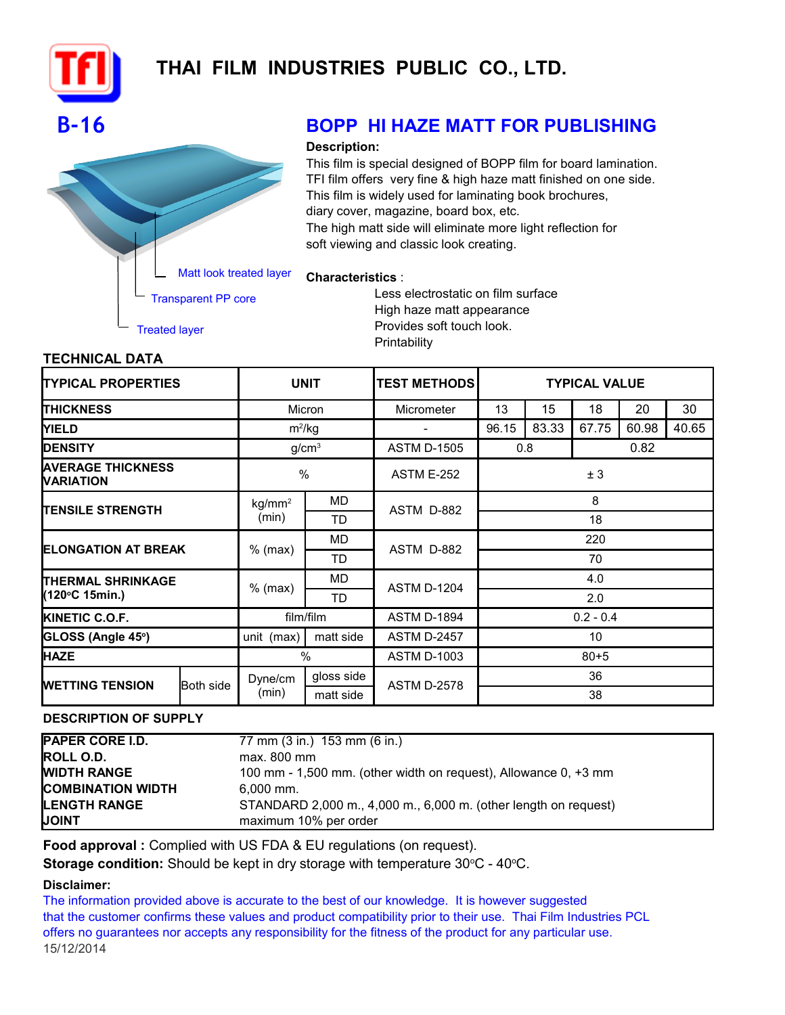

# **THAI FILM INDUSTRIES PUBLIC CO., LTD.**

## **B-16 BOPP HI HAZE MATT FOR PUBLISHING**

#### **Description:**

**Characteristics** :

This film is special designed of BOPP film for board lamination. TFI film offers very fine & high haze matt finished on one side. This film is widely used for laminating book brochures, diary cover, magazine, board box, etc. The high matt side will eliminate more light reflection for soft viewing and classic look creating.

## Matt look treated layer

Transparent PP core

Treated layer

Less electrostatic on film surface High haze matt appearance Provides soft touch look. **Printability** 

### **TECHNICAL DATA**

| <b>TYPICAL PROPERTIES</b>                    |  | <b>UNIT</b>                   |            | <b>TEST METHODS</b> | <b>TYPICAL VALUE</b> |       |       |       |       |
|----------------------------------------------|--|-------------------------------|------------|---------------------|----------------------|-------|-------|-------|-------|
| <b>ITHICKNESS</b>                            |  | Micron                        |            | Micrometer          | 13                   | 15    | 18    | 20    | 30    |
| <b>YIELD</b>                                 |  | $m^2/kg$                      |            |                     | 96.15                | 83.33 | 67.75 | 60.98 | 40.65 |
| <b>IDENSITY</b>                              |  | g/cm <sup>3</sup>             |            | <b>ASTM D-1505</b>  | 0.8<br>0.82          |       |       |       |       |
| <b>AVERAGE THICKNESS</b><br><b>NARIATION</b> |  | $\%$                          |            | <b>ASTM E-252</b>   | ± 3                  |       |       |       |       |
| <b>TENSILE STRENGTH</b>                      |  | kg/mm <sup>2</sup>            | <b>MD</b>  | ASTM D-882          | 8                    |       |       |       |       |
|                                              |  | (min)                         | TD         |                     | 18                   |       |       |       |       |
| <b>IELONGATION AT BREAK</b>                  |  | $%$ (max)                     | <b>MD</b>  | ASTM D-882          | 220                  |       |       |       |       |
|                                              |  |                               | TD         |                     | 70                   |       |       |       |       |
| <b>ITHERMAL SHRINKAGE</b><br>(120°C 15min.)  |  | $%$ (max)                     | MD.        | <b>ASTM D-1204</b>  | 4.0                  |       |       |       |       |
|                                              |  |                               | TD         |                     | 2.0                  |       |       |       |       |
| <b>KINETIC C.O.F.</b>                        |  | film/film                     |            | <b>ASTM D-1894</b>  | $0.2 - 0.4$          |       |       |       |       |
| GLOSS (Angle 45°)                            |  | unit (max)                    | matt side  | <b>ASTM D-2457</b>  | 10 <sup>°</sup>      |       |       |       |       |
| <b>HAZE</b>                                  |  | %                             |            | <b>ASTM D-1003</b>  | $80 + 5$             |       |       |       |       |
| <b>WETTING TENSION</b>                       |  | Dyne/cm<br>Both side<br>(min) | gloss side | <b>ASTM D-2578</b>  | 36                   |       |       |       |       |
|                                              |  |                               | matt side  |                     | 38                   |       |       |       |       |

#### **DESCRIPTION OF SUPPLY**

| <b>PAPER CORE I.D.</b>   | 77 mm (3 in.) 153 mm (6 in.)                                    |
|--------------------------|-----------------------------------------------------------------|
| <b>ROLL O.D.</b>         | $max. 800$ mm                                                   |
| <b>WIDTH RANGE</b>       | 100 mm - 1,500 mm. (other width on request), Allowance 0, +3 mm |
| <b>COMBINATION WIDTH</b> | $6.000$ mm.                                                     |
| <b>LENGTH RANGE</b>      | STANDARD 2,000 m., 4,000 m., 6,000 m. (other length on request) |
| <b>JOINT</b>             | maximum 10% per order                                           |

Food approval : Complied with US FDA & EU regulations (on request).

**Storage condition:** Should be kept in dry storage with temperature 30°C - 40°C.

#### **Disclaimer:**

offers no guarantees nor accepts any responsibility for the fitness of the product for any particular use. 15/12/2014 The information provided above is accurate to the best of our knowledge. It is however suggested that the customer confirms these values and product compatibility prior to their use. Thai Film Industries PCL